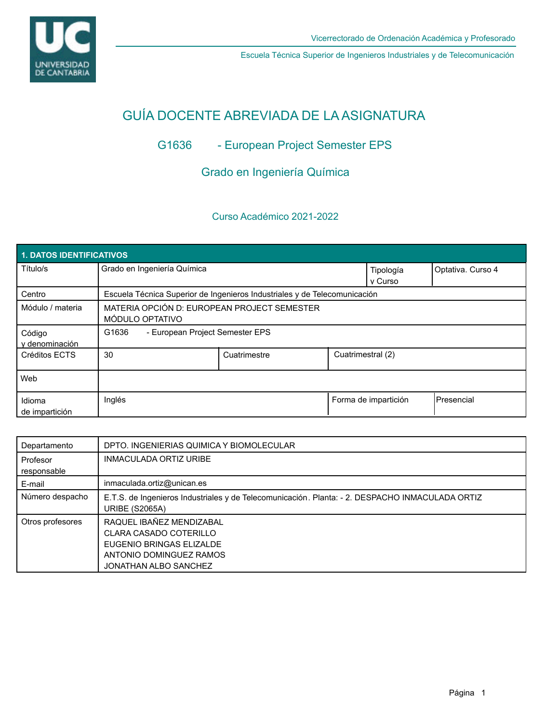

Escuela Técnica Superior de Ingenieros Industriales y de Telecomunicación

# GUÍA DOCENTE ABREVIADA DE LA ASIGNATURA

## G1636 - European Project Semester EPS

## Grado en Ingeniería Química

## Curso Académico 2021-2022

| <b>1. DATOS IDENTIFICATIVOS</b> |                                                                           |              |  |                      |                   |  |  |  |
|---------------------------------|---------------------------------------------------------------------------|--------------|--|----------------------|-------------------|--|--|--|
| Título/s                        | Grado en Ingeniería Química                                               |              |  | Tipología<br>v Curso | Optativa. Curso 4 |  |  |  |
| Centro                          | Escuela Técnica Superior de Ingenieros Industriales y de Telecomunicación |              |  |                      |                   |  |  |  |
| Módulo / materia                | MATERIA OPCIÓN D: EUROPEAN PROJECT SEMESTER<br>MÓDULO OPTATIVO            |              |  |                      |                   |  |  |  |
| Código<br>y denominación        | G1636<br>- European Project Semester EPS                                  |              |  |                      |                   |  |  |  |
| Créditos ECTS                   | 30                                                                        | Cuatrimestre |  | Cuatrimestral (2)    |                   |  |  |  |
| Web                             |                                                                           |              |  |                      |                   |  |  |  |
| Idioma<br>de impartición        | Inglés                                                                    |              |  | Forma de impartición | Presencial        |  |  |  |

| Departamento            | DPTO. INGENIERIAS QUIMICA Y BIOMOLECULAR                                                                                           |
|-------------------------|------------------------------------------------------------------------------------------------------------------------------------|
| Profesor<br>responsable | <b>INMACULADA ORTIZ URIBE</b>                                                                                                      |
| E-mail                  | inmaculada.ortiz@unican.es                                                                                                         |
| Número despacho         | E.T.S. de Ingenieros Industriales y de Telecomunicación. Planta: - 2. DESPACHO INMACULADA ORTIZ<br><b>URIBE (S2065A)</b>           |
| Otros profesores        | RAQUEL IBAÑEZ MENDIZABAL<br>CLARA CASADO COTERILLO<br>EUGENIO BRINGAS ELIZALDE<br>ANTONIO DOMINGUEZ RAMOS<br>JONATHAN ALBO SANCHEZ |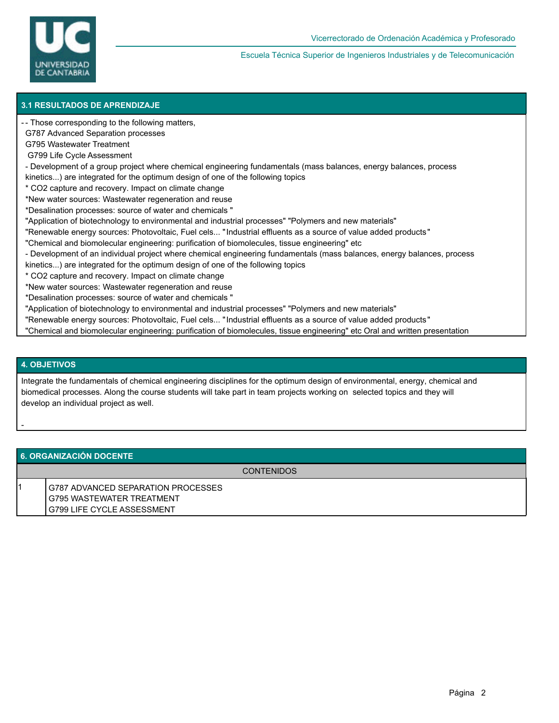

Escuela Técnica Superior de Ingenieros Industriales y de Telecomunicación

### **3.1 RESULTADOS DE APRENDIZAJE**

- Those corresponding to the following matters, -

G787 Advanced Separation processes

G795 Wastewater Treatment

G799 Life Cycle Assessment

- Development of a group project where chemical engineering fundamentals (mass balances, energy balances, process

kinetics...) are integrated for the optimum design of one of the following topics

\* CO2 capture and recovery. Impact on climate change

\*New water sources: Wastewater regeneration and reuse

\*Desalination processes: source of water and chemicals "

- "Application of biotechnology to environmental and industrial processes" "Polymers and new materials"
- "Renewable energy sources: Photovoltaic, Fuel cels... "Industrial effluents as a source of value added products"
- "Chemical and biomolecular engineering: purification of biomolecules, tissue engineering" etc
- Development of an individual project where chemical engineering fundamentals (mass balances, energy balances, process
- kinetics...) are integrated for the optimum design of one of the following topics
- \* CO2 capture and recovery. Impact on climate change

\*New water sources: Wastewater regeneration and reuse

- \*Desalination processes: source of water and chemicals "
- "Application of biotechnology to environmental and industrial processes" "Polymers and new materials"
- "Renewable energy sources: Photovoltaic, Fuel cels... "Industrial effluents as a source of value added products"
- "Chemical and biomolecular engineering: purification of biomolecules, tissue engineering" etc Oral and written presentation

#### **4. OBJETIVOS**

-

Integrate the fundamentals of chemical engineering disciplines for the optimum design of environmental, energy, chemical and biomedical processes. Along the course students will take part in team projects working on selected topics and they will develop an individual project as well.

#### **6. ORGANIZACIÓN DOCENTE**

CONTENIDOS

1 G787 ADVANCED SEPARATION PROCESSES G795 WASTEWATER TREATMENT G799 LIFE CYCLE ASSESSMENT